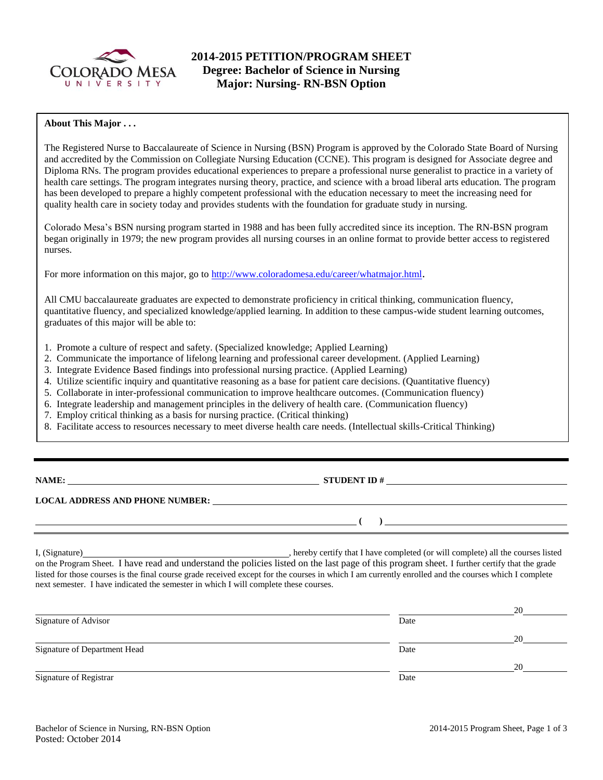

# **2014-2015 PETITION/PROGRAM SHEET Degree: Bachelor of Science in Nursing Major: Nursing- RN-BSN Option**

## **About This Major . . .**

The Registered Nurse to Baccalaureate of Science in Nursing (BSN) Program is approved by the Colorado State Board of Nursing and accredited by the Commission on Collegiate Nursing Education (CCNE). This program is designed for Associate degree and Diploma RNs. The program provides educational experiences to prepare a professional nurse generalist to practice in a variety of health care settings. The program integrates nursing theory, practice, and science with a broad liberal arts education. The program has been developed to prepare a highly competent professional with the education necessary to meet the increasing need for quality health care in society today and provides students with the foundation for graduate study in nursing.

Colorado Mesa's BSN nursing program started in 1988 and has been fully accredited since its inception. The RN-BSN program began originally in 1979; the new program provides all nursing courses in an online format to provide better access to registered nurses.

For more information on this major, go to<http://www.coloradomesa.edu/career/whatmajor.html>.

All CMU baccalaureate graduates are expected to demonstrate proficiency in critical thinking, communication fluency, quantitative fluency, and specialized knowledge/applied learning. In addition to these campus-wide student learning outcomes, graduates of this major will be able to:

- 1. Promote a culture of respect and safety. (Specialized knowledge; Applied Learning)
- 2. Communicate the importance of lifelong learning and professional career development. (Applied Learning)
- 3. Integrate Evidence Based findings into professional nursing practice. (Applied Learning)
- 4. Utilize scientific inquiry and quantitative reasoning as a base for patient care decisions. (Quantitative fluency)
- 5. Collaborate in inter-professional communication to improve healthcare outcomes. (Communication fluency)
- 6. Integrate leadership and management principles in the delivery of health care. (Communication fluency)
- 7. Employ critical thinking as a basis for nursing practice. (Critical thinking)
- 8. Facilitate access to resources necessary to meet diverse health care needs. (Intellectual skills-Critical Thinking)

**NAME: STUDENT ID #** 

**( )** 

### **LOCAL ADDRESS AND PHONE NUMBER:**

I, (Signature) , hereby certify that I have completed (or will complete) all the courses listed on the Program Sheet. I have read and understand the policies listed on the last page of this program sheet. I further certify that the grade listed for those courses is the final course grade received except for the courses in which I am currently enrolled and the courses which I complete next semester. I have indicated the semester in which I will complete these courses.

|                              |      | 20 |
|------------------------------|------|----|
| Signature of Advisor         | Date |    |
|                              |      | 20 |
| Signature of Department Head | Date |    |
|                              |      | 20 |
| Signature of Registrar       | Date |    |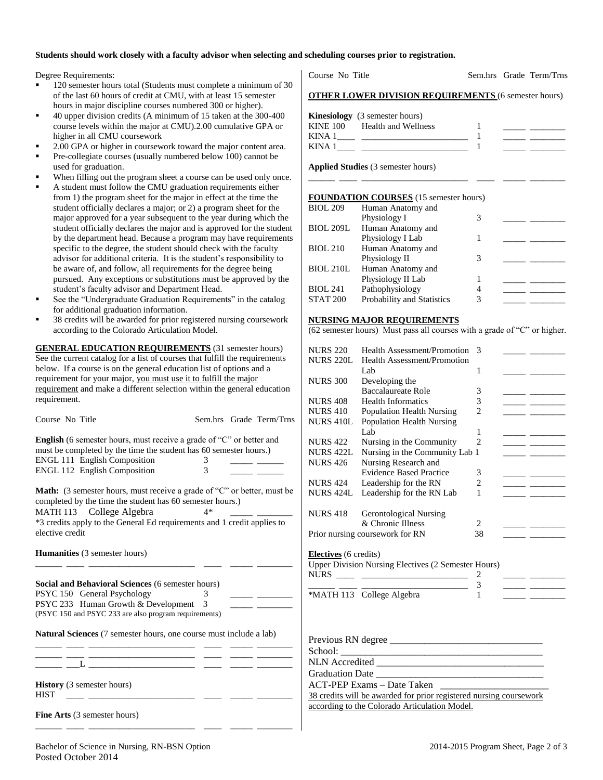#### **Students should work closely with a faculty advisor when selecting and scheduling courses prior to registration.**

Degree Requirements:

- 120 semester hours total (Students must complete a minimum of 30 of the last 60 hours of credit at CMU, with at least 15 semester hours in major discipline courses numbered 300 or higher).
- 40 upper division credits (A minimum of 15 taken at the 300-400 course levels within the major at CMU).2.00 cumulative GPA or higher in all CMU coursework
- 2.00 GPA or higher in coursework toward the major content area.
- Pre-collegiate courses (usually numbered below 100) cannot be used for graduation.
- When filling out the program sheet a course can be used only once.
- A student must follow the CMU graduation requirements either from 1) the program sheet for the major in effect at the time the student officially declares a major; or 2) a program sheet for the major approved for a year subsequent to the year during which the student officially declares the major and is approved for the student by the department head. Because a program may have requirements specific to the degree, the student should check with the faculty advisor for additional criteria. It is the student's responsibility to be aware of, and follow, all requirements for the degree being pursued. Any exceptions or substitutions must be approved by the student's faculty advisor and Department Head.
- See the "Undergraduate Graduation Requirements" in the catalog for additional graduation information.
- 38 credits will be awarded for prior registered nursing coursework according to the Colorado Articulation Model.

**GENERAL EDUCATION REQUIREMENTS** (31 semester hours) See the current catalog for a list of courses that fulfill the requirements below. If a course is on the general education list of options and a requirement for your major, you must use it to fulfill the major requirement and make a different selection within the general education requirement.

| Course No Title                                                                                                                                                                                                                                                               |                    | Sem.hrs Grade Term/Trns |
|-------------------------------------------------------------------------------------------------------------------------------------------------------------------------------------------------------------------------------------------------------------------------------|--------------------|-------------------------|
| <b>English</b> (6 semester hours, must receive a grade of "C" or better and<br>must be completed by the time the student has 60 semester hours.)<br>ENGL 111 English Composition<br>ENGL 112 English Composition                                                              | 3<br>$\mathcal{E}$ |                         |
| <b>Math:</b> (3 semester hours, must receive a grade of "C" or better, must be<br>completed by the time the student has 60 semester hours.)<br>MATH 113 College Algebra<br>$4*$<br>*3 credits apply to the General Ed requirements and 1 credit applies to<br>elective credit |                    |                         |
| <b>Humanities</b> (3 semester hours)                                                                                                                                                                                                                                          |                    |                         |
| Social and Behavioral Sciences (6 semester hours)                                                                                                                                                                                                                             |                    |                         |
| PSYC 150 General Psychology                                                                                                                                                                                                                                                   | 3                  |                         |
| PSYC 233 Human Growth & Development 3                                                                                                                                                                                                                                         |                    |                         |
| (PSYC 150 and PSYC 233 are also program requirements)                                                                                                                                                                                                                         |                    |                         |
| Natural Sciences (7 semester hours, one course must include a lab)                                                                                                                                                                                                            |                    |                         |
| <u> 1988 - Antonio Alemania, prima politika (h. 1888).</u><br>1900 - Antonio Santonio, politikar espainiar (h. 1800).                                                                                                                                                         |                    |                         |
| <b>History</b> (3 semester hours)<br><b>HIST</b>                                                                                                                                                                                                                              |                    |                         |

**Fine Arts** (3 semester hours) \_\_\_\_\_\_ \_\_\_\_ \_\_\_\_\_\_\_\_\_\_\_\_\_\_\_\_\_\_\_\_\_\_\_\_ \_\_\_\_ \_\_\_\_\_ \_\_\_\_\_\_\_\_

Course No Title Sem.hrs Grade Term/Trns

### **OTHER LOWER DIVISION REQUIREMENTS** (6 semester hours)

|          | <b>Kinesiology</b> (3 semester hours) |  |  |
|----------|---------------------------------------|--|--|
| KINE 100 | Health and Wellness                   |  |  |
| KINA 1   |                                       |  |  |
| KINA 1   |                                       |  |  |

\_\_\_\_\_\_ \_\_\_\_ \_\_\_\_\_\_\_\_\_\_\_\_\_\_\_\_\_\_\_\_\_\_\_\_ \_\_\_\_ \_\_\_\_\_ \_\_\_\_\_\_\_\_

**Applied Studies** (3 semester hours)

#### **FOUNDATION COURSES** (15 semester hours)

| <b>BIOL 209</b>  | Human Anatomy and          |   |  |
|------------------|----------------------------|---|--|
|                  | Physiology I               | 3 |  |
| <b>BIOL 209L</b> | Human Anatomy and          |   |  |
|                  | Physiology I Lab           |   |  |
| <b>BIOL 210</b>  | Human Anatomy and          |   |  |
|                  | Physiology II              | 3 |  |
| <b>BIOL 210L</b> | Human Anatomy and          |   |  |
|                  | Physiology II Lab          |   |  |
| <b>BIOL 241</b>  | Pathophysiology            | 4 |  |
| <b>STAT 200</b>  | Probability and Statistics | 3 |  |

#### **NURSING MAJOR REQUIREMENTS**

(62 semester hours) Must pass all courses with a grade of "C" or higher.

| <b>NURS 220</b>              | Health Assessment/Promotion                                | 3              |  |
|------------------------------|------------------------------------------------------------|----------------|--|
| <b>NURS 220L</b>             | Health Assessment/Promotion                                |                |  |
|                              | Lab                                                        | 1              |  |
| <b>NURS 300</b>              | Developing the                                             |                |  |
|                              | <b>Baccalaureate Role</b>                                  | 3              |  |
| <b>NURS 408</b>              | <b>Health Informatics</b>                                  | 3              |  |
| <b>NURS 410</b>              | Population Health Nursing                                  | $\overline{c}$ |  |
| NURS 410L                    | Population Health Nursing                                  |                |  |
|                              | Lab.                                                       | 1              |  |
| <b>NURS 422</b>              | Nursing in the Community                                   | $\mathfrak{D}$ |  |
| <b>NURS 422L</b>             | Nursing in the Community Lab 1                             |                |  |
| <b>NURS 426</b>              | Nursing Research and                                       |                |  |
|                              | <b>Evidence Based Practice</b>                             | 3              |  |
| <b>NURS 424</b>              | Leadership for the RN                                      | $\overline{c}$ |  |
| <b>NURS 424L</b>             | Leadership for the RN Lab                                  | 1              |  |
| <b>NURS 418</b>              | <b>Gerontological Nursing</b>                              |                |  |
|                              | & Chronic Illness                                          | 2              |  |
|                              | Prior nursing coursework for RN                            | 38             |  |
| <b>Electives</b> (6 credits) |                                                            |                |  |
|                              | <b>Upper Division Nursing Electives (2 Semester Hours)</b> |                |  |
| <b>NURS</b>                  | <u> 1980 - Johann Barbara, martxa a</u>                    |                |  |
|                              |                                                            | 3              |  |
|                              | *MATH 113 College Algebra                                  | 1              |  |

| Previous RN degree                                                 |
|--------------------------------------------------------------------|
|                                                                    |
| NLN Accredited                                                     |
| <b>Graduation Date</b>                                             |
| ACT-PEP Exams - Date Taken                                         |
| 38 credits will be awarded for prior registered nursing coursework |
| according to the Colorado Articulation Model.                      |